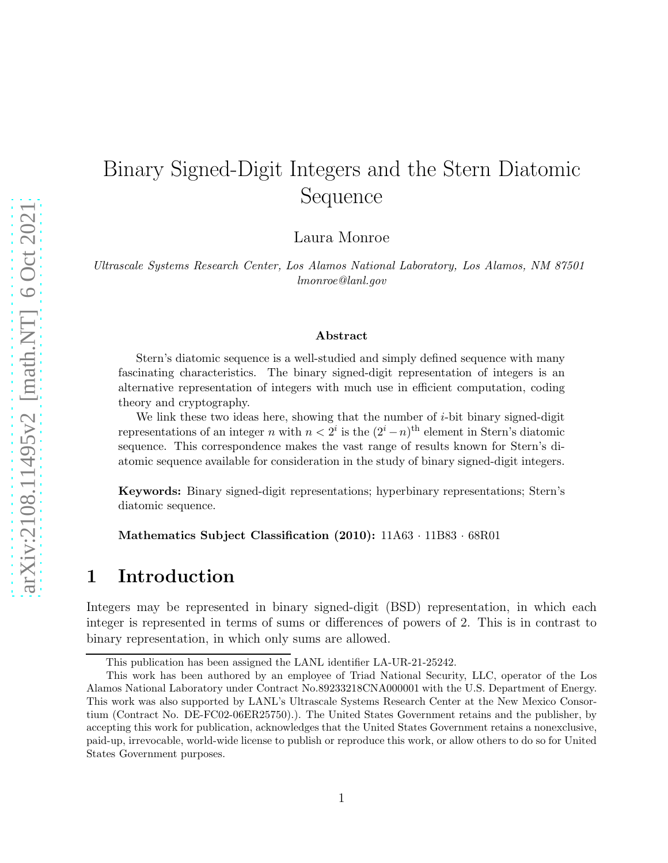# Binary Signed-Digit Integers and the Stern Diatomic Sequence

Laura Monroe

Ultrascale Systems Research Center, Los Alamos National Laboratory, Los Alamos, NM 87501 lmonroe@lanl.gov

#### Abstract

Stern's diatomic sequence is a well-studied and simply defined sequence with many fascinating characteristics. The binary signed-digit representation of integers is an alternative representation of integers with much use in efficient computation, coding theory and cryptography.

We link these two ideas here, showing that the number of  $i$ -bit binary signed-digit representations of an integer n with  $n < 2<sup>i</sup>$  is the  $(2<sup>i</sup> - n)<sup>th</sup>$  element in Stern's diatomic sequence. This correspondence makes the vast range of results known for Stern's diatomic sequence available for consideration in the study of binary signed-digit integers.

Keywords: Binary signed-digit representations; hyperbinary representations; Stern's diatomic sequence.

Mathematics Subject Classification (2010):  $11A63 \cdot 11B83 \cdot 68R01$ 

### 1 Introduction

Integers may be represented in binary signed-digit (BSD) representation, in which each integer is represented in terms of sums or differences of powers of 2. This is in contrast to binary representation, in which only sums are allowed.

This publication has been assigned the LANL identifier LA-UR-21-25242.

This work has been authored by an employee of Triad National Security, LLC, operator of the Los Alamos National Laboratory under Contract No.89233218CNA000001 with the U.S. Department of Energy. This work was also supported by LANL's Ultrascale Systems Research Center at the New Mexico Consortium (Contract No. DE-FC02-06ER25750).). The United States Government retains and the publisher, by accepting this work for publication, acknowledges that the United States Government retains a nonexclusive, paid-up, irrevocable, world-wide license to publish or reproduce this work, or allow others to do so for United States Government purposes.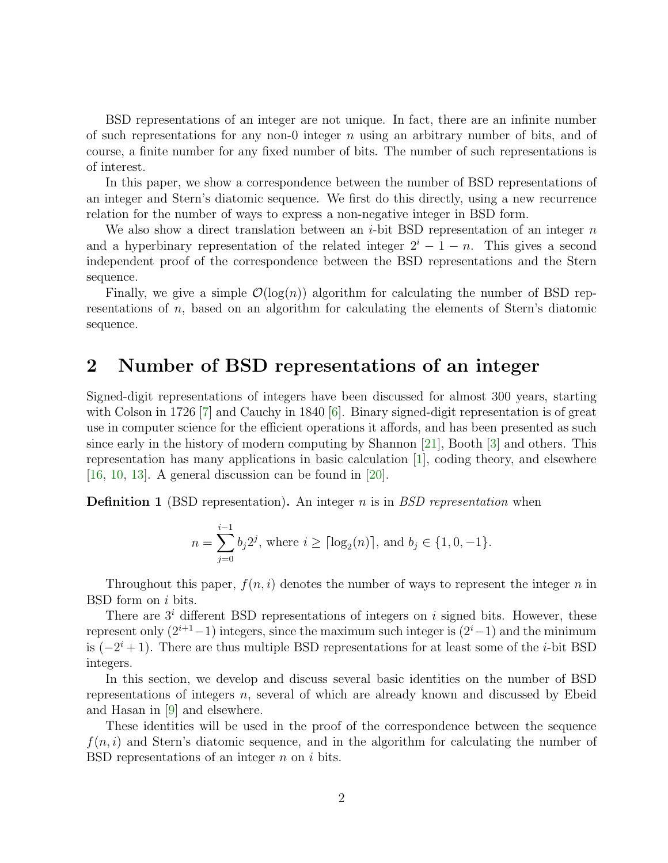BSD representations of an integer are not unique. In fact, there are an infinite number of such representations for any non-0 integer  $n$  using an arbitrary number of bits, and of course, a finite number for any fixed number of bits. The number of such representations is of interest.

In this paper, we show a correspondence between the number of BSD representations of an integer and Stern's diatomic sequence. We first do this directly, using a new recurrence relation for the number of ways to express a non-negative integer in BSD form.

We also show a direct translation between an *i*-bit BSD representation of an integer  $n$ and a hyperbinary representation of the related integer  $2^{i} - 1 - n$ . This gives a second independent proof of the correspondence between the BSD representations and the Stern sequence.

Finally, we give a simple  $\mathcal{O}(\log(n))$  algorithm for calculating the number of BSD representations of n, based on an algorithm for calculating the elements of Stern's diatomic sequence.

#### 2 Number of BSD representations of an integer

Signed-digit representations of integers have been discussed for almost 300 years, starting with Colson in 1726 [\[7\]](#page-10-0) and Cauchy in 1840 [\[6\]](#page-10-1). Binary signed-digit representation is of great use in computer science for the efficient operations it affords, and has been presented as such since early in the history of modern computing by Shannon [\[21\]](#page-11-0), Booth [\[3\]](#page-10-2) and others. This representation has many applications in basic calculation [\[1\]](#page-10-3), coding theory, and elsewhere  $[16, 10, 13]$  $[16, 10, 13]$  $[16, 10, 13]$  $[16, 10, 13]$  $[16, 10, 13]$ . A general discussion can be found in  $[20]$ .

**Definition 1** (BSD representation). An integer  $n$  is in BSD representation when

$$
n = \sum_{j=0}^{i-1} b_j 2^j
$$
, where  $i \ge \lceil \log_2(n) \rceil$ , and  $b_j \in \{1, 0, -1\}$ .

Throughout this paper,  $f(n, i)$  denotes the number of ways to represent the integer n in BSD form on i bits.

There are  $3<sup>i</sup>$  different BSD representations of integers on i signed bits. However, these represent only  $(2^{i+1}-1)$  integers, since the maximum such integer is  $(2^{i}-1)$  and the minimum is  $(-2^i + 1)$ . There are thus multiple BSD representations for at least some of the *i*-bit BSD integers.

In this section, we develop and discuss several basic identities on the number of BSD representations of integers n, several of which are already known and discussed by Ebeid and Hasan in [\[9\]](#page-10-5) and elsewhere.

These identities will be used in the proof of the correspondence between the sequence  $f(n, i)$  and Stern's diatomic sequence, and in the algorithm for calculating the number of BSD representations of an integer  $n$  on  $i$  bits.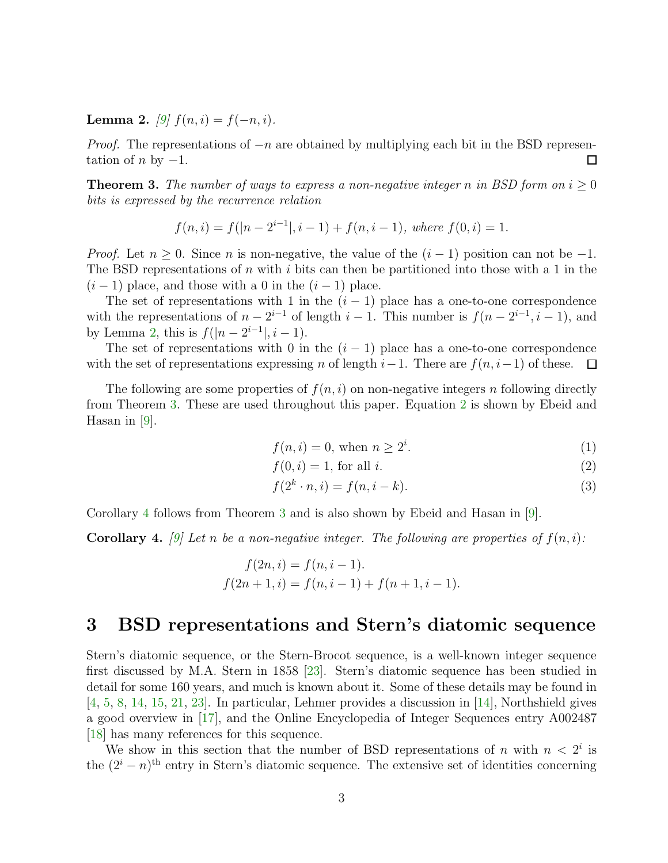<span id="page-2-0"></span>**Lemma 2.** [\[9\]](#page-10-5)  $f(n, i) = f(-n, i)$ .

*Proof.* The representations of  $-n$  are obtained by multiplying each bit in the BSD representation of  $n$  by  $-1$ . □

<span id="page-2-1"></span>**Theorem 3.** The number of ways to express a non-negative integer n in BSD form on  $i \geq 0$ bits is expressed by the recurrence relation

$$
f(n,i) = f(|n - 2^{i-1}|, i - 1) + f(n, i - 1), \text{ where } f(0,i) = 1.
$$

*Proof.* Let  $n \geq 0$ . Since n is non-negative, the value of the  $(i-1)$  position can not be  $-1$ . The BSD representations of n with i bits can then be partitioned into those with a 1 in the  $(i-1)$  place, and those with a 0 in the  $(i-1)$  place.

The set of representations with 1 in the  $(i - 1)$  place has a one-to-one correspondence with the representations of  $n-2^{i-1}$  of length  $i-1$ . This number is  $f(n-2^{i-1}, i-1)$ , and by Lemma [2,](#page-2-0) this is  $f(|n-2^{i-1}|, i-1)$ .

The set of representations with 0 in the  $(i - 1)$  place has a one-to-one correspondence with the set of representations expressing n of length  $i-1$ . There are  $f(n, i-1)$  of these.  $\Box$ 

The following are some properties of  $f(n, i)$  on non-negative integers n following directly from Theorem [3.](#page-2-1) These are used throughout this paper. Equation [2](#page-2-2) is shown by Ebeid and Hasan in [\[9\]](#page-10-5).

<span id="page-2-5"></span><span id="page-2-2"></span>
$$
f(n,i) = 0, \text{ when } n \ge 2^i. \tag{1}
$$

$$
f(0,i) = 1, \text{ for all } i. \tag{2}
$$

<span id="page-2-4"></span>
$$
f(2^k \cdot n, i) = f(n, i - k). \tag{3}
$$

Corollary [4](#page-2-3) follows from Theorem [3](#page-2-1) and is also shown by Ebeid and Hasan in [\[9\]](#page-10-5).

<span id="page-2-3"></span>**Corollary 4.** [\[9\]](#page-10-5) Let n be a non-negative integer. The following are properties of  $f(n, i)$ :

$$
f(2n, i) = f(n, i - 1).
$$
  

$$
f(2n + 1, i) = f(n, i - 1) + f(n + 1, i - 1).
$$

#### 3 BSD representations and Stern's diatomic sequence

Stern's diatomic sequence, or the Stern-Brocot sequence, is a well-known integer sequence first discussed by M.A. Stern in 1858 [\[23\]](#page-11-4). Stern's diatomic sequence has been studied in detail for some 160 years, and much is known about it. Some of these details may be found in [\[4,](#page-10-6) [5,](#page-10-7) [8,](#page-10-8) [14,](#page-11-5) [15,](#page-11-6) [21,](#page-11-0) [23\]](#page-11-4). In particular, Lehmer provides a discussion in [\[14\]](#page-11-5), Northshield gives a good overview in [\[17\]](#page-11-7), and the Online Encyclopedia of Integer Sequences entry A002487 [\[18\]](#page-11-8) has many references for this sequence.

We show in this section that the number of BSD representations of n with  $n < 2<sup>i</sup>$  is the  $(2^{i} - n)^{th}$  entry in Stern's diatomic sequence. The extensive set of identities concerning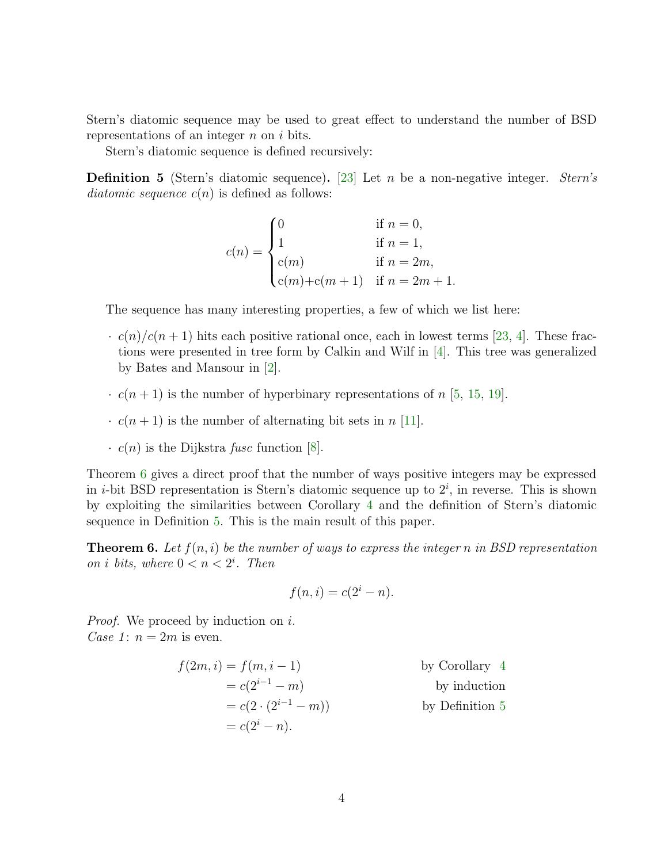Stern's diatomic sequence may be used to great effect to understand the number of BSD representations of an integer  $n$  on  $i$  bits.

Stern's diatomic sequence is defined recursively:

<span id="page-3-1"></span>**Definition 5** (Stern's diatomic sequence). [\[23\]](#page-11-4) Let n be a non-negative integer. *Stern's* diatomic sequence  $c(n)$  is defined as follows:

$$
c(n) = \begin{cases} 0 & \text{if } n = 0, \\ 1 & \text{if } n = 1, \\ c(m) & \text{if } n = 2m, \\ c(m) + c(m+1) & \text{if } n = 2m + 1. \end{cases}
$$

The sequence has many interesting properties, a few of which we list here:

- $\cdot$  c(n)/c(n + 1) hits each positive rational once, each in lowest terms [\[23,](#page-11-4) [4\]](#page-10-6). These fractions were presented in tree form by Calkin and Wilf in [\[4\]](#page-10-6). This tree was generalized by Bates and Mansour in [\[2\]](#page-10-9).
- $\cdot$   $c(n+1)$  is the number of hyperbinary representations of n [\[5,](#page-10-7) [15,](#page-11-6) [19\]](#page-11-9).
- $\cdot$   $c(n+1)$  is the number of alternating bit sets in n [\[11\]](#page-11-10).
- $\cdot$  c(n) is the Dijkstra fusc function [\[8\]](#page-10-8).

Theorem [6](#page-3-0) gives a direct proof that the number of ways positive integers may be expressed in *i*-bit BSD representation is Stern's diatomic sequence up to  $2^i$ , in reverse. This is shown by exploiting the similarities between Corollary [4](#page-2-3) and the definition of Stern's diatomic sequence in Definition [5.](#page-3-1) This is the main result of this paper.

<span id="page-3-0"></span>**Theorem 6.** Let  $f(n, i)$  be the number of ways to express the integer n in BSD representation on *i* bits, where  $0 < n < 2^i$ . Then

$$
f(n,i) = c(2^i - n).
$$

*Proof.* We proceed by induction on i. Case 1:  $n = 2m$  is even.

$$
f(2m, i) = f(m, i - 1)
$$
by Corollary 4  
=  $c(2^{i-1} - m)$  by induction  
=  $c(2 \cdot (2^{i-1} - m))$  by Definition 5  
=  $c(2^{i} - n)$ .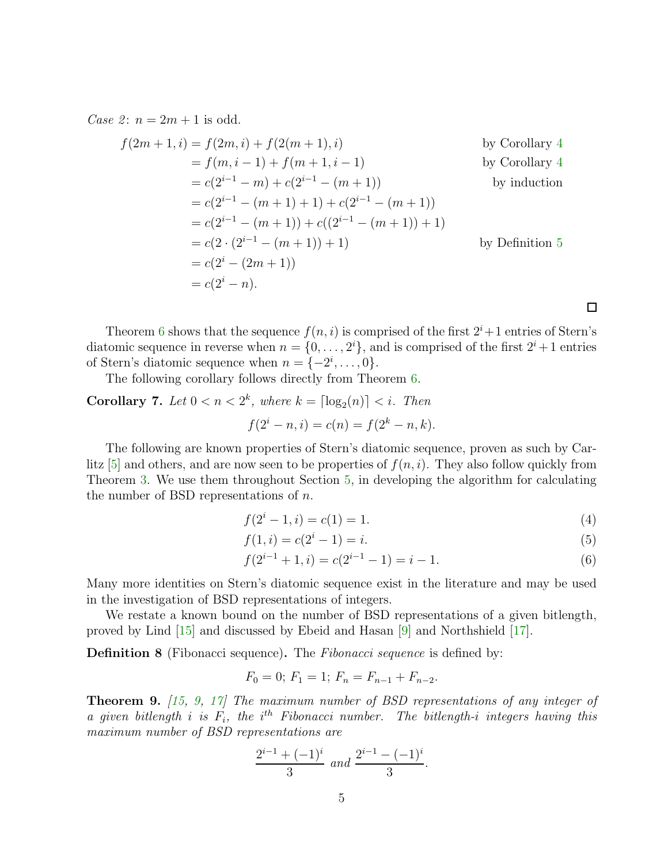Case 2:  $n = 2m + 1$  is odd.

$$
f(2m + 1, i) = f(2m, i) + f(2(m + 1), i)
$$
by Corollary 4  
=  $f(m, i - 1) + f(m + 1, i - 1)$  by Corollary 4  
=  $c(2^{i-1} - m) + c(2^{i-1} - (m + 1))$  by induction  
=  $c(2^{i-1} - (m + 1) + 1) + c(2^{i-1} - (m + 1))$   
=  $c(2^{i-1} - (m + 1)) + c((2^{i-1} - (m + 1)) + 1)$   
=  $c(2 \cdot (2^{i-1} - (m + 1)) + 1)$  by Definition 5  
=  $c(2^i - (2m + 1))$   
=  $c(2^i - n)$ .

Theorem [6](#page-3-0) shows that the sequence  $f(n, i)$  is comprised of the first  $2^{i}+1$  entries of Stern's diatomic sequence in reverse when  $n = \{0, \ldots, 2^i\}$ , and is comprised of the first  $2^i + 1$  entries of Stern's diatomic sequence when  $n = \{-2^i, \ldots, 0\}.$ 

The following corollary follows directly from Theorem [6.](#page-3-0)

**Corollary 7.** Let  $0 < n < 2^k$ , where  $k = \lceil \log_2(n) \rceil < i$ . Then  $f(2^{i} - n, i) = c(n) = f(2^{k} - n, k).$ 

The following are known properties of Stern's diatomic sequence, proven as such by Carlitz  $[5]$  and others, and are now seen to be properties of  $f(n, i)$ . They also follow quickly from Theorem [3.](#page-2-1) We use them throughout Section [5,](#page-6-0) in developing the algorithm for calculating the number of BSD representations of  $n$ .

$$
f(2i - 1, i) = c(1) = 1.
$$
 (4)

<span id="page-4-2"></span><span id="page-4-1"></span><span id="page-4-0"></span> $\Box$ 

$$
f(1,i) = c(2i - 1) = i.
$$
 (5)

$$
f(2^{i-1} + 1, i) = c(2^{i-1} - 1) = i - 1.
$$
\n<sup>(6)</sup>

Many more identities on Stern's diatomic sequence exist in the literature and may be used in the investigation of BSD representations of integers.

We restate a known bound on the number of BSD representations of a given bitlength, proved by Lind [\[15\]](#page-11-6) and discussed by Ebeid and Hasan [\[9\]](#page-10-5) and Northshield [\[17\]](#page-11-7).

**Definition 8** (Fibonacci sequence). The *Fibonacci sequence* is defined by:

$$
F_0 = 0; F_1 = 1; F_n = F_{n-1} + F_{n-2}.
$$

Theorem 9. [\[15,](#page-11-6) [9,](#page-10-5) [17\]](#page-11-7) The maximum number of BSD representations of any integer of a given bitlength i is  $F_i$ , the i<sup>th</sup> Fibonacci number. The bitlength-i integers having this maximum number of BSD representations are

$$
\frac{2^{i-1} + (-1)^i}{3} \text{ and } \frac{2^{i-1} - (-1)^i}{3}.
$$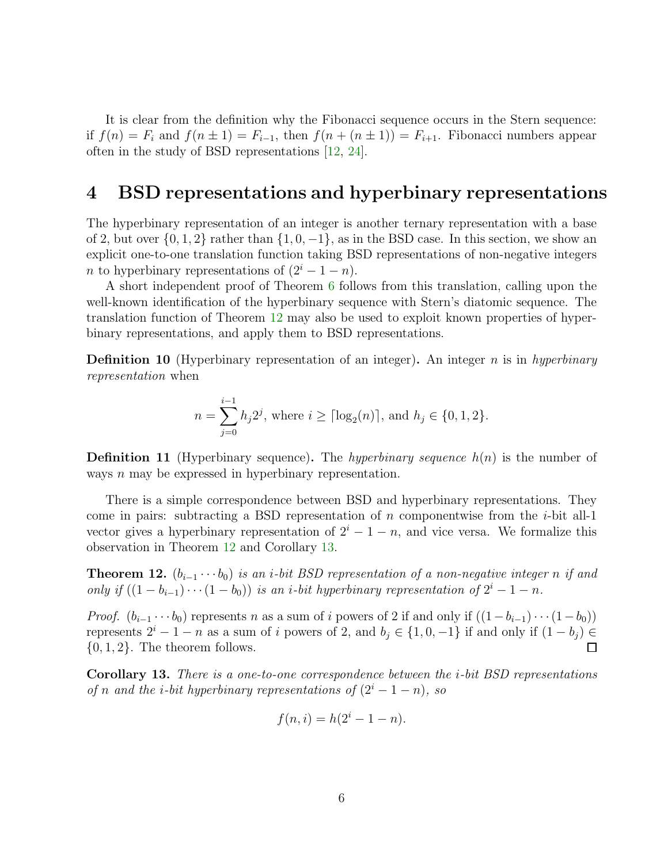It is clear from the definition why the Fibonacci sequence occurs in the Stern sequence: if  $f(n) = F_i$  and  $f(n \pm 1) = F_{i-1}$ , then  $f(n + (n \pm 1)) = F_{i+1}$ . Fibonacci numbers appear often in the study of BSD representations [\[12,](#page-11-11) [24\]](#page-12-0).

#### 4 BSD representations and hyperbinary representations

The hyperbinary representation of an integer is another ternary representation with a base of 2, but over  $\{0, 1, 2\}$  rather than  $\{1, 0, -1\}$ , as in the BSD case. In this section, we show an explicit one-to-one translation function taking BSD representations of non-negative integers n to hyperbinary representations of  $(2^{i} - 1 - n)$ .

A short independent proof of Theorem [6](#page-3-0) follows from this translation, calling upon the well-known identification of the hyperbinary sequence with Stern's diatomic sequence. The translation function of Theorem [12](#page-5-0) may also be used to exploit known properties of hyperbinary representations, and apply them to BSD representations.

**Definition 10** (Hyperbinary representation of an integer). An integer n is in hyperbinary representation when

$$
n = \sum_{j=0}^{i-1} h_j 2^j, \text{ where } i \ge \lceil \log_2(n) \rceil, \text{ and } h_j \in \{0, 1, 2\}.
$$

**Definition 11** (Hyperbinary sequence). The hyperbinary sequence  $h(n)$  is the number of ways n may be expressed in hyperbinary representation.

There is a simple correspondence between BSD and hyperbinary representations. They come in pairs: subtracting a BSD representation of n componentwise from the  $i$ -bit all-1 vector gives a hyperbinary representation of  $2^{i} - 1 - n$ , and vice versa. We formalize this observation in Theorem [12](#page-5-0) and Corollary [13.](#page-5-1)

<span id="page-5-0"></span>**Theorem 12.**  $(b_{i-1} \cdots b_0)$  is an i-bit BSD representation of a non-negative integer n if and only if  $((1 - b_{i-1}) \cdots (1 - b_0))$  is an *i*-bit hyperbinary representation of  $2^i - 1 - n$ .

*Proof.*  $(b_{i-1} \cdots b_0)$  represents n as a sum of i powers of 2 if and only if  $((1-b_{i-1}) \cdots (1-b_0))$ represents  $2^{i} - 1 - n$  as a sum of i powers of 2, and  $b_i \in \{1, 0, -1\}$  if and only if  $(1 - b_i) \in$  $\{0, 1, 2\}$ . The theorem follows.  $\Box$ 

<span id="page-5-1"></span>Corollary 13. There is a one-to-one correspondence between the i-bit BSD representations of n and the i-bit hyperbinary representations of  $(2^{i} - 1 - n)$ , so

$$
f(n,i) = h(2^i - 1 - n).
$$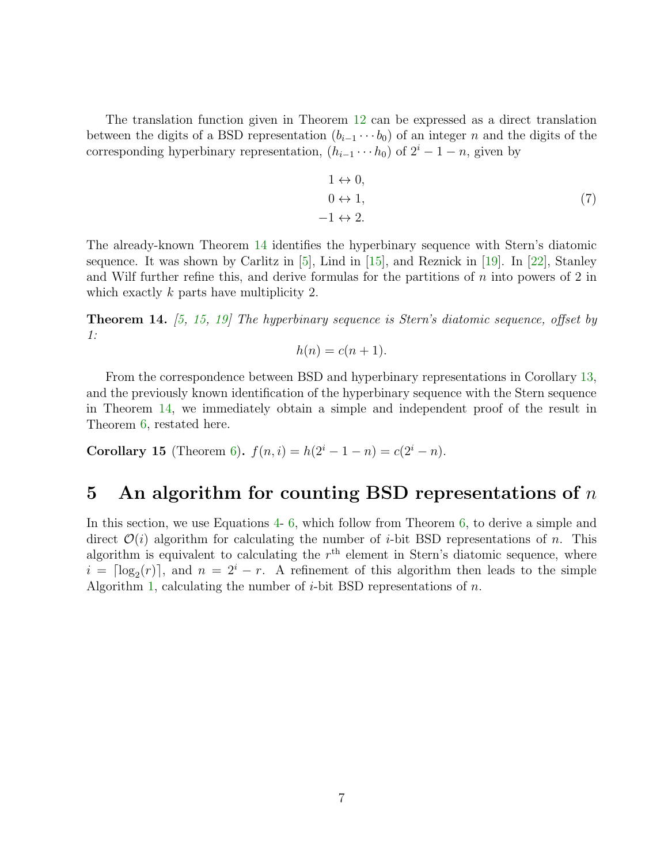The translation function given in Theorem [12](#page-5-0) can be expressed as a direct translation between the digits of a BSD representation  $(b_{i-1} \cdots b_0)$  of an integer n and the digits of the corresponding hyperbinary representation,  $(h_{i-1} \cdots h_0)$  of  $2^i - 1 - n$ , given by

$$
1 \leftrightarrow 0,
$$
  
\n
$$
0 \leftrightarrow 1,
$$
  
\n
$$
-1 \leftrightarrow 2.
$$
\n(7)

The already-known Theorem [14](#page-6-1) identifies the hyperbinary sequence with Stern's diatomic sequence. It was shown by Carlitz in  $[5]$ , Lind in  $[15]$ , and Reznick in  $[19]$ . In  $[22]$ , Stanley and Wilf further refine this, and derive formulas for the partitions of  $n$  into powers of 2 in which exactly k parts have multiplicity 2.

<span id="page-6-1"></span>**Theorem 14.**  $(5, 15, 19)$  $(5, 15, 19)$  $(5, 15, 19)$  The hyperbinary sequence is Stern's diatomic sequence, offset by 1:

$$
h(n) = c(n+1).
$$

From the correspondence between BSD and hyperbinary representations in Corollary [13,](#page-5-1) and the previously known identification of the hyperbinary sequence with the Stern sequence in Theorem [14,](#page-6-1) we immediately obtain a simple and independent proof of the result in Theorem [6,](#page-3-0) restated here.

Corollary 15 (Theorem [6\)](#page-3-0).  $f(n, i) = h(2^{i} - 1 - n) = c(2^{i} - n)$ .

### <span id="page-6-0"></span>5 An algorithm for counting BSD representations of  $n$

In this section, we use Equations [4-](#page-4-0) [6,](#page-4-1) which follow from Theorem [6,](#page-3-0) to derive a simple and direct  $\mathcal{O}(i)$  algorithm for calculating the number of *i*-bit BSD representations of *n*. This algorithm is equivalent to calculating the  $r<sup>th</sup>$  element in Stern's diatomic sequence, where  $i = \lceil \log_2(r) \rceil$ , and  $n = 2^i - r$ . A refinement of this algorithm then leads to the simple Algorithm [1,](#page-7-0) calculating the number of  $i$ -bit BSD representations of  $n$ .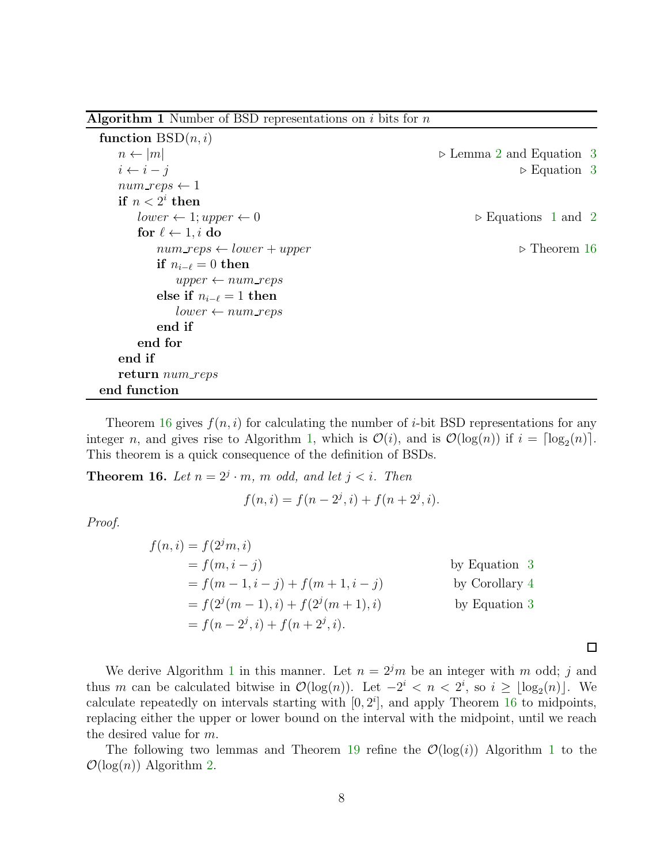<span id="page-7-0"></span>**Algorithm 1** Number of BSD representations on  $i$  bits for  $n$ 

| function $BSD(n, i)$                     |                                         |
|------------------------------------------|-----------------------------------------|
| $n \leftarrow  m $                       | $\triangleright$ Lemma 2 and Equation 3 |
| $i \leftarrow i - j$                     | $\triangleright$ Equation 3             |
| $num\_reps \leftarrow 1$                 |                                         |
| if $n < 2^i$ then                        |                                         |
| $lower \leftarrow 1; upper \leftarrow 0$ | $\triangleright$ Equations 1 and 2      |
| for $\ell \leftarrow 1, i$ do            |                                         |
| $num\_reps \leftarrow lower + upper$     | $\triangleright$ Theorem 16             |
| if $n_{i-\ell}=0$ then                   |                                         |
| $upper \leftarrow num\_reps$             |                                         |
| else if $n_{i-\ell}=1$ then              |                                         |
| $lower \leftarrow num\_reps$             |                                         |
| end if                                   |                                         |
| end for                                  |                                         |
| end if                                   |                                         |
| return num_reps                          |                                         |
| end function                             |                                         |

Theorem [16](#page-7-1) gives  $f(n, i)$  for calculating the number of *i*-bit BSD representations for any integer *n*, and gives rise to Algorithm [1,](#page-7-0) which is  $\mathcal{O}(i)$ , and is  $\mathcal{O}(\log(n))$  if  $i = \lceil \log_2(n) \rceil$ . This theorem is a quick consequence of the definition of BSDs.

<span id="page-7-1"></span>**Theorem 16.** Let  $n = 2^j \cdot m$ , m odd, and let  $j < i$ . Then

$$
f(n, i) = f(n - 2j, i) + f(n + 2j, i).
$$

Proof.

$$
f(n,i) = f(2jm,i)
$$
  
\n
$$
= f(m, i - j)
$$
  
\n
$$
= f(m - 1, i - j) + f(m + 1, i - j)
$$
  
\n
$$
= f(2j(m - 1), i) + f(2j(m + 1), i)
$$
  
\n
$$
= f(n - 2j, i) + f(n + 2j, i).
$$
  
\nby Equation 3  
\nby Equation 3  
\nby Equation 3

We derive Algorithm [1](#page-7-0) in this manner. Let  $n = 2<sup>j</sup>m$  be an integer with m odd; j and thus m can be calculated bitwise in  $\mathcal{O}(\log(n))$ . Let  $-2^i < n < 2^i$ , so  $i \geq \lfloor \log_2(n) \rfloor$ . We calculate repeatedly on intervals starting with  $[0, 2<sup>i</sup>]$ , and apply Theorem [16](#page-7-1) to midpoints, replacing either the upper or lower bound on the interval with the midpoint, until we reach the desired value for m.

 $\Box$ 

The following two lemmas and Theorem [19](#page-8-0) refine the  $\mathcal{O}(\log(i))$  Algorithm [1](#page-7-0) to the  $\mathcal{O}(\log(n))$  Algorithm [2.](#page-9-0)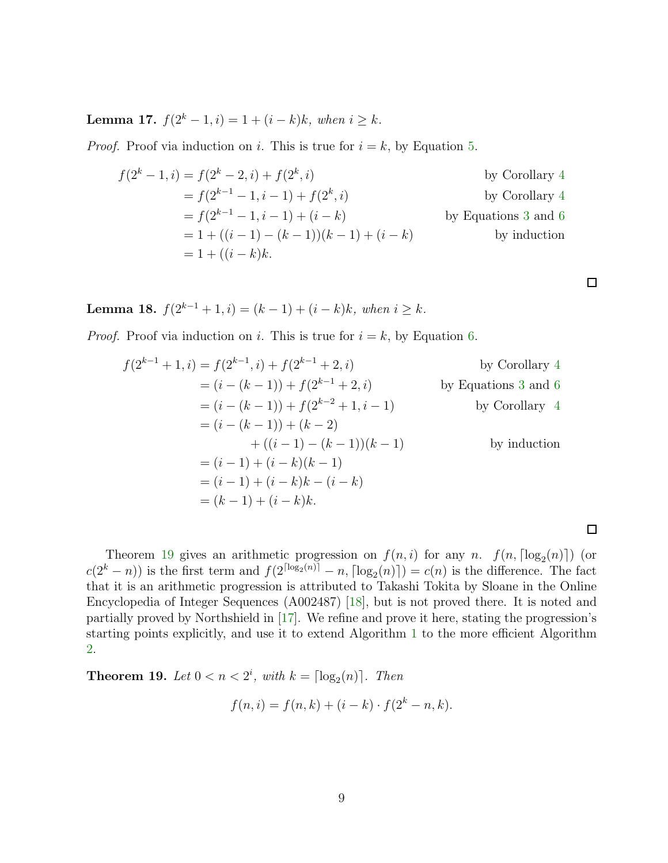<span id="page-8-2"></span>Lemma 17.  $f(2<sup>k</sup> − 1, i) = 1 + (i − k)k$ , when  $i ≥ k$ .

*Proof.* Proof via induction on i. This is true for  $i = k$ , by Equation [5.](#page-4-2)

$$
f(2^{k} - 1, i) = f(2^{k} - 2, i) + f(2^{k}, i)
$$
by Corollary 4  
=  $f(2^{k-1} - 1, i - 1) + f(2^{k}, i)$  by Corollary 4  
=  $f(2^{k-1} - 1, i - 1) + (i - k)$  by Equations 3 and 6  
=  $1 + ((i - 1) - (k - 1))(k - 1) + (i - k)$  by induction  
=  $1 + ((i - k)k)$ .

 $\Box$ 

 $\Box$ 

<span id="page-8-1"></span>Lemma 18.  $f(2^{k-1} + 1, i) = (k-1) + (i-k)k$ , when  $i \ge k$ .

*Proof.* Proof via induction on i. This is true for  $i = k$ , by Equation [6.](#page-4-1)

$$
f(2^{k-1} + 1, i) = f(2^{k-1}, i) + f(2^{k-1} + 2, i)
$$
by Corollary 4  
=  $(i - (k - 1)) + f(2^{k-1} + 2, i)$  by Equations 3 and 6  
=  $(i - (k - 1)) + f(2^{k-2} + 1, i - 1)$  by Corollary 4  
=  $(i - (k - 1)) + (k - 2)$   
+  $((i - 1) - (k - 1))(k - 1)$  by induction  
=  $(i - 1) + (i - k)(k - 1)$   
=  $(i - 1) + (i - k)k - (i - k)$   
=  $(k - 1) + (i - k)k$ .

Theorem [19](#page-8-0) gives an arithmetic progression on  $f(n,i)$  for any n.  $f(n, \lceil \log_2(n) \rceil)$  (or  $c(2^k - n)$  is the first term and  $f(2^{\lceil \log_2(n) \rceil} - n, \lceil \log_2(n) \rceil) = c(n)$  is the difference. The fact that it is an arithmetic progression is attributed to Takashi Tokita by Sloane in the Online Encyclopedia of Integer Sequences (A002487) [\[18\]](#page-11-8), but is not proved there. It is noted and partially proved by Northshield in [\[17\]](#page-11-7). We refine and prove it here, stating the progression's starting points explicitly, and use it to extend Algorithm [1](#page-7-0) to the more efficient Algorithm [2.](#page-9-0)

<span id="page-8-0"></span>**Theorem 19.** Let  $0 < n < 2^i$ , with  $k = \lceil \log_2(n) \rceil$ . Then

$$
f(n, i) = f(n, k) + (i - k) \cdot f(2^{k} - n, k).
$$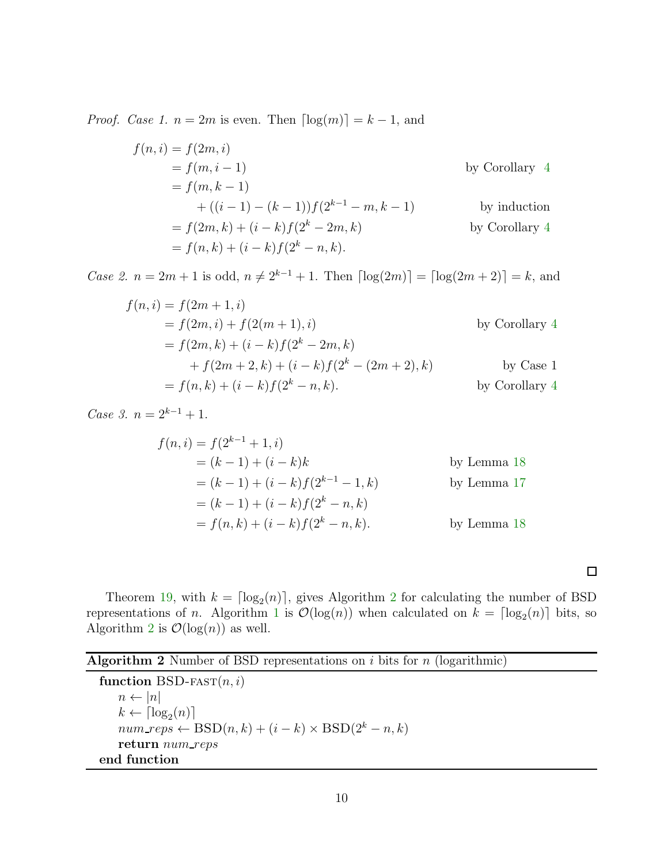*Proof.* Case 1.  $n = 2m$  is even. Then  $\lceil \log(m) \rceil = k - 1$ , and

$$
f(n, i) = f(2m, i)
$$
  
\n
$$
= f(m, i - 1)
$$
  
\n
$$
= f(m, k - 1)
$$
  
\n
$$
+ ((i - 1) - (k - 1))f(2^{k-1} - m, k - 1)
$$
  
\n
$$
= f(2m, k) + (i - k)f(2^{k} - 2m, k)
$$
  
\nby Corollary 4  
\nby Corollary 4  
\n
$$
= f(n, k) + (i - k)f(2^{k} - n, k).
$$

Case 2.  $n = 2m + 1$  is odd,  $n \neq 2^{k-1} + 1$ . Then  $\lceil \log(2m) \rceil = \lceil \log(2m + 2) \rceil = k$ , and

$$
f(n, i) = f(2m + 1, i)
$$
  
=  $f(2m, i) + f(2(m + 1), i)$  by Corollary 4  
=  $f(2m, k) + (i - k)f(2^{k} - 2m, k)$   
+  $f(2m + 2, k) + (i - k)f(2^{k} - (2m + 2), k)$  by Case 1  
=  $f(n, k) + (i - k)f(2^{k} - n, k)$ . by Corollary 4

Case 3.  $n = 2^{k-1} + 1$ .

$$
f(n, i) = f(2^{k-1} + 1, i)
$$
  
=  $(k - 1) + (i - k)k$  by Lemma 18  
=  $(k - 1) + (i - k)f(2^{k-1} - 1, k)$  by Lemma 17  
=  $(k - 1) + (i - k)f(2^k - n, k)$   
=  $f(n, k) + (i - k)f(2^k - n, k)$ . by Lemma 18

 $\Box$ 

Theorem [19,](#page-8-0) with  $k = \lfloor \log_2(n) \rfloor$  $k = \lfloor \log_2(n) \rfloor$  $k = \lfloor \log_2(n) \rfloor$ , gives Algorithm 2 for calculating the number of BSD representations of *n*. Algorithm [1](#page-7-0) is  $\mathcal{O}(\log(n))$  when calculated on  $k = \lceil \log_2(n) \rceil$  bits, so Algorithm [2](#page-9-0) is  $\mathcal{O}(\log(n))$  as well.

<span id="page-9-0"></span>

| <b>Algorithm 2</b> Number of BSD representations on $i$ bits for $n$ (logarithmic) |  |  |  |  |  |  |
|------------------------------------------------------------------------------------|--|--|--|--|--|--|
|------------------------------------------------------------------------------------|--|--|--|--|--|--|

function BSD-FAST $(n, i)$  $n \leftarrow |n|$  $k \leftarrow \lceil \log_2(n) \rceil$  $num\_reps \leftarrow \text{BSD}(n, k) + (i - k) \times \text{BSD}(2^k - n, k)$ return num\_reps end function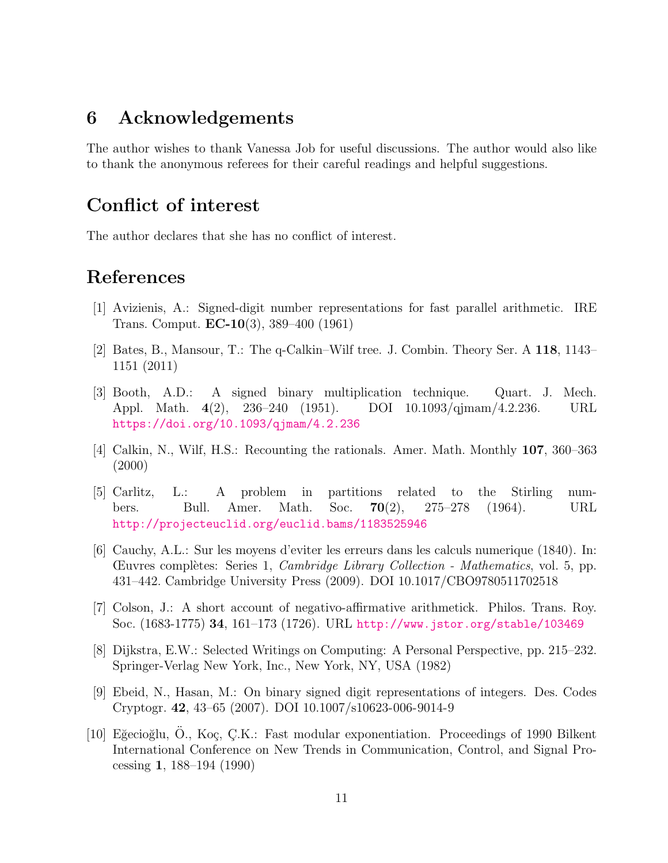#### 6 Acknowledgements

The author wishes to thank Vanessa Job for useful discussions. The author would also like to thank the anonymous referees for their careful readings and helpful suggestions.

### Conflict of interest

The author declares that she has no conflict of interest.

## <span id="page-10-3"></span>References

- <span id="page-10-9"></span>[1] Avizienis, A.: Signed-digit number representations for fast parallel arithmetic. IRE Trans. Comput. EC-10(3), 389–400 (1961)
- <span id="page-10-2"></span>[2] Bates, B., Mansour, T.: The q-Calkin–Wilf tree. J. Combin. Theory Ser. A 118, 1143– 1151 (2011)
- [3] Booth, A.D.: A signed binary multiplication technique. Quart. J. Mech. Appl. Math. 4(2), 236–240 (1951). DOI 10.1093/qjmam/4.2.236. URL <https://doi.org/10.1093/qjmam/4.2.236>
- <span id="page-10-7"></span><span id="page-10-6"></span>[4] Calkin, N., Wilf, H.S.: Recounting the rationals. Amer. Math. Monthly 107, 360–363 (2000)
- [5] Carlitz, L.: A problem in partitions related to the Stirling numbers. Bull. Amer. Math. Soc. **70**(2), 275–278 (1964). URL <http://projecteuclid.org/euclid.bams/1183525946>
- <span id="page-10-1"></span>[6] Cauchy, A.L.: Sur les moyens d'eviter les erreurs dans les calculs numerique (1840). In: Œuvres compl`etes: Series 1, Cambridge Library Collection - Mathematics, vol. 5, pp. 431–442. Cambridge University Press (2009). DOI 10.1017/CBO9780511702518
- <span id="page-10-8"></span><span id="page-10-0"></span>[7] Colson, J.: A short account of negativo-affirmative arithmetick. Philos. Trans. Roy. Soc. (1683-1775) 34, 161–173 (1726). URL <http://www.jstor.org/stable/103469>
- [8] Dijkstra, E.W.: Selected Writings on Computing: A Personal Perspective, pp. 215–232. Springer-Verlag New York, Inc., New York, NY, USA (1982)
- <span id="page-10-5"></span>[9] Ebeid, N., Hasan, M.: On binary signed digit representations of integers. Des. Codes Cryptogr. 42, 43–65 (2007). DOI 10.1007/s10623-006-9014-9
- <span id="page-10-4"></span>[10] Eğecioğlu, O., Koç, Ç.K.: Fast modular exponentiation. Proceedings of 1990 Bilkent International Conference on New Trends in Communication, Control, and Signal Processing 1, 188–194 (1990)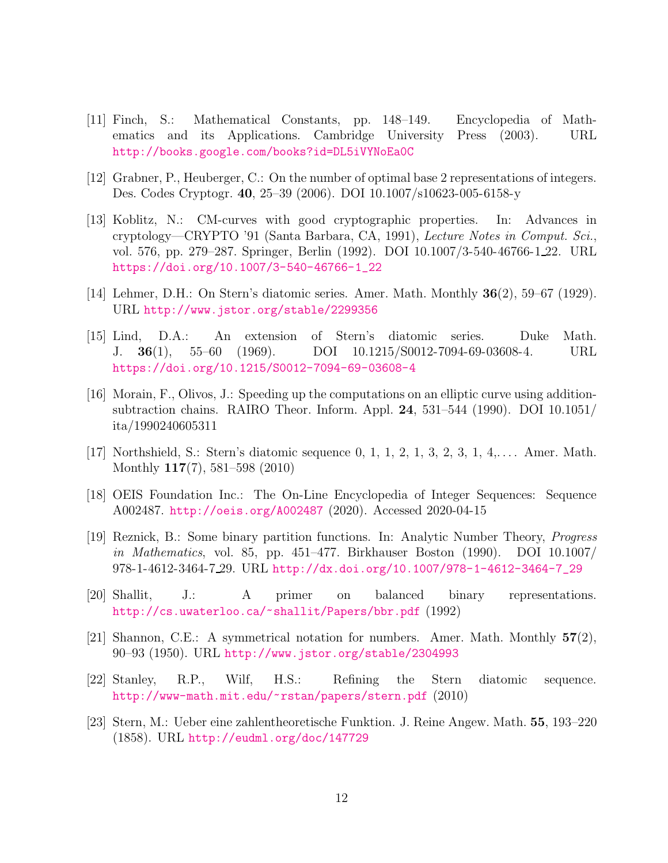- <span id="page-11-10"></span>[11] Finch, S.: Mathematical Constants, pp. 148–149. Encyclopedia of Mathematics and its Applications. Cambridge University Press (2003). URL <http://books.google.com/books?id=DL5iVYNoEa0C>
- <span id="page-11-11"></span><span id="page-11-2"></span>[12] Grabner, P., Heuberger, C.: On the number of optimal base 2 representations of integers. Des. Codes Cryptogr. 40, 25–39 (2006). DOI 10.1007/s10623-005-6158-y
- [13] Koblitz, N.: CM-curves with good cryptographic properties. In: Advances in cryptology—CRYPTO '91 (Santa Barbara, CA, 1991), Lecture Notes in Comput. Sci., vol. 576, pp. 279–287. Springer, Berlin (1992). DOI 10.1007/3-540-46766-1 22. URL [https://doi.org/10.1007/3-540-46766-1\\_22](https://doi.org/10.1007/3-540-46766-1_22)
- <span id="page-11-6"></span><span id="page-11-5"></span>[14] Lehmer, D.H.: On Stern's diatomic series. Amer. Math. Monthly 36(2), 59–67 (1929). URL <http://www.jstor.org/stable/2299356>
- [15] Lind, D.A.: An extension of Stern's diatomic series. Duke Math. J. 36(1), 55–60 (1969). DOI 10.1215/S0012-7094-69-03608-4. URL <https://doi.org/10.1215/S0012-7094-69-03608-4>
- <span id="page-11-1"></span>[16] Morain, F., Olivos, J.: Speeding up the computations on an elliptic curve using additionsubtraction chains. RAIRO Theor. Inform. Appl. 24, 531–544 (1990). DOI 10.1051/ ita/1990240605311
- <span id="page-11-8"></span><span id="page-11-7"></span>[17] Northshield, S.: Stern's diatomic sequence 0, 1, 1, 2, 1, 3, 2, 3, 1, 4,. . . . Amer. Math. Monthly 117(7), 581–598 (2010)
- <span id="page-11-9"></span>[18] OEIS Foundation Inc.: The On-Line Encyclopedia of Integer Sequences: Sequence A002487. <http://oeis.org/A002487> (2020). Accessed 2020-04-15
- [19] Reznick, B.: Some binary partition functions. In: Analytic Number Theory, Progress in Mathematics, vol. 85, pp. 451–477. Birkhauser Boston (1990). DOI 10.1007/ 978-1-4612-3464-7 29. URL [http://dx.doi.org/10.1007/978-1-4612-3464-7\\_29](http://dx.doi.org/10.1007/978-1-4612-3464-7_29)
- <span id="page-11-3"></span>[20] Shallit, J.: A primer on balanced binary representations. <http://cs.uwaterloo.ca/~shallit/Papers/bbr.pdf> (1992)
- <span id="page-11-0"></span>[21] Shannon, C.E.: A symmetrical notation for numbers. Amer. Math. Monthly 57(2), 90–93 (1950). URL <http://www.jstor.org/stable/2304993>
- <span id="page-11-12"></span>[22] Stanley, R.P., Wilf, H.S.: Refining the Stern diatomic sequence. <http://www-math.mit.edu/~rstan/papers/stern.pdf> (2010)
- <span id="page-11-4"></span>[23] Stern, M.: Ueber eine zahlentheoretische Funktion. J. Reine Angew. Math. 55, 193–220 (1858). URL <http://eudml.org/doc/147729>